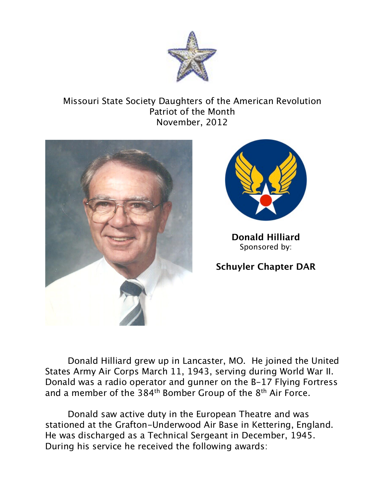

## Missouri State Society Daughters of the American Revolution Patriot of the Month November, 2012





**Donald Hilliard** Sponsored by:

## **Schuyler Chapter DAR**

Donald Hilliard grew up in Lancaster, MO. He joined the United States Army Air Corps March 11, 1943, serving during World War II. Donald was a radio operator and gunner on the B-17 Flying Fortress and a member of the 384<sup>th</sup> Bomber Group of the 8<sup>th</sup> Air Force.

Donald saw active duty in the European Theatre and was stationed at the Grafton-Underwood Air Base in Kettering, England. He was discharged as a Technical Sergeant in December, 1945. During his service he received the following awards: